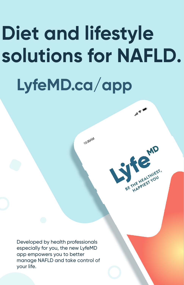# **Diet and lifestyle solutions for NAFLD. LyfeMD.ca/app**

10:30 AM

 $\mathbb{R}^d$ 

BE THE HEALTHIEST,

Developed by health professionals especially for you, the new LyfeMD app empowers you to better manage NAFLD and take control of your life.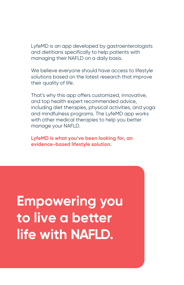LyfeMD is an app developed by gastroenterologists and dietitians specifically to help patients with managing their NAFLD on a daily basis.

We believe everyone should have access to lifestyle solutions based on the latest research that improve their quality of life.

That's why this app offers customized, innovative, and top health expert recommended advice, including diet therapies, physical activities, and yoga and mindfulness programs. The LyfeMD app works with other medical therapies to help you better manage your NAFLD.

**LyfeMD is what you've been looking for, an evidence-based lifestyle solution.** 

# **Empowering you to live a better life with NAFLD.**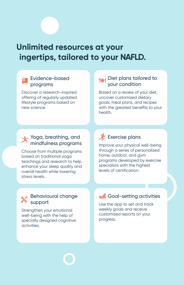# **Unlimited resources at your ingertips, tailored to your NAFLD.**

#### Evidence-based programs

Discover a research-inspired offering of regularly updated lifestyle programs based on new science.

#### Diet plans tailored to your condition

Based on a review of your diet, uncover customized dietary goals, meal plans, and recipes with the greatest benefits to your health.

#### Yoga, breathing, and mindfulness programs

Choose from multiple programs based on traditional yoga teachings and research to help enhance your sleep quality and overall health while lowering stress levels.

### **X** Exercise plans

Improve your physical well-being through a series of personalized home, outdoor, and gym programs developed by exercise specialists with the highest levels of certification.

#### Behavioural change support

Strengthen your emotional well-being with the help of specially designed cognitive activities.

#### **In Coal-setting activities**

Use the app to set and track weekly goals and receive customized reports on your progress.